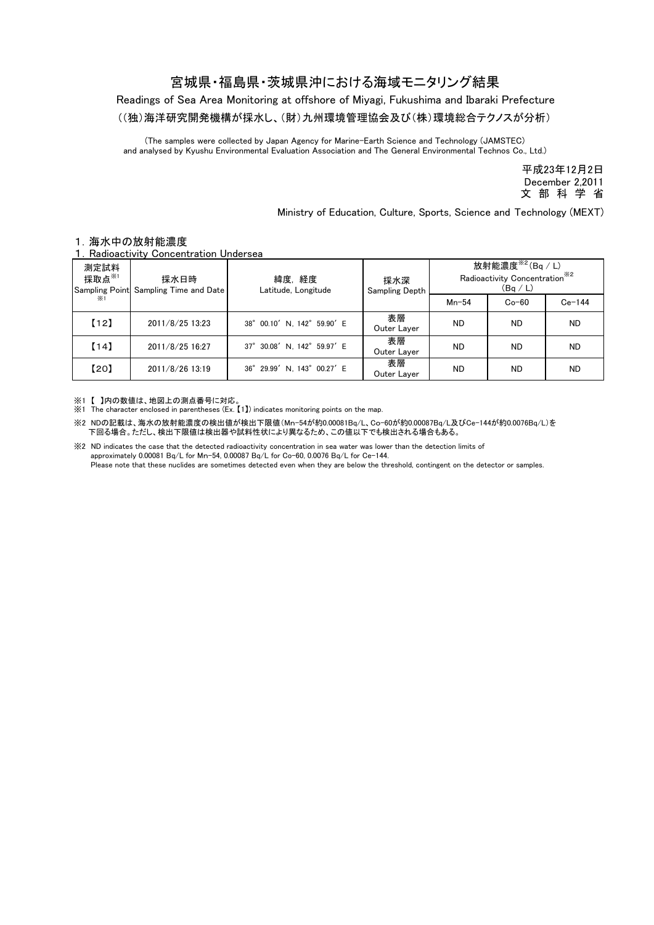## 宮城県・福島県・茨城県沖における海域モニタリング結果

Readings of Sea Area Monitoring at offshore of Miyagi, Fukushima and Ibaraki Prefecture

((独)海洋研究開発機構が採水し、(財)九州環境管理協会及び(株)環境総合テクノスが分析)

(The samples were collected by Japan Agency for Marine-Earth Science and Technology (JAMSTEC) and analysed by Kyushu Environmental Evaluation Association and The General Environmental Technos Co., Ltd.)

> December 2,2011 平成23年12月2日 文 部 科 学 省

Ministry of Education, Culture, Sports, Science and Technology (MEXT)

## 1.海水中の放射能濃度

Radioactivity Concentration Undersea

| 測定試料<br>採取点 $x_{1}$<br>$\times 1$ | 採水日時<br>Sampling Point Sampling Time and Date | 緯度,経度<br>Latitude, Longitude | 採水深<br>Sampling Depth | 放射能濃度 $*$ <sup>2</sup> (Bq / L)<br>Radioactivity Concentration <sup>**2</sup><br>(Bq/L) |           |           |
|-----------------------------------|-----------------------------------------------|------------------------------|-----------------------|-----------------------------------------------------------------------------------------|-----------|-----------|
|                                   |                                               |                              |                       | $Mn-54$                                                                                 | $Co-60$   | $Ce-144$  |
| [12]                              | 2011/8/25 13:23                               | 38° 00.10' N. 142° 59.90' E  | 表層<br>Outer Laver     | <b>ND</b>                                                                               | <b>ND</b> | <b>ND</b> |
| [14]                              | 2011/8/25 16:27                               | 37° 30.08' N. 142° 59.97' E  | 表層<br>Outer Layer     | <b>ND</b>                                                                               | <b>ND</b> | <b>ND</b> |
| 【20】                              | 2011/8/26 13:19                               | 36° 29.99' N, 143° 00.27' E  | 表層<br>Outer Layer     | <b>ND</b>                                                                               | <b>ND</b> | <b>ND</b> |

※1 【 】内の数値は、地図上の測点番号に対応。

※1 The character enclosed in parentheses (Ex. 【1】) indicates monitoring points on the map.

※2 NDの記載は、海水の放射能濃度の検出値が検出下限値(Mn-54が約0.00081Bq/L、Co-60が約0.00087Bq/L及びCe-144が約0.0076Bq/L)を 下回る場合。ただし、検出下限値は検出器や試料性状により異なるため、この値以下でも検出される場合もある。

※2 ND indicates the case that the detected radioactivity concentration in sea water was lower than the detection limits of approximately 0.00081 Bq/L for Mn-54, 0.00087 Bq/L for Co-60, 0.0076 Bq/L for Ce-144. Please note that these nuclides are sometimes detected even when they are below the threshold, contingent on the detector or samples.